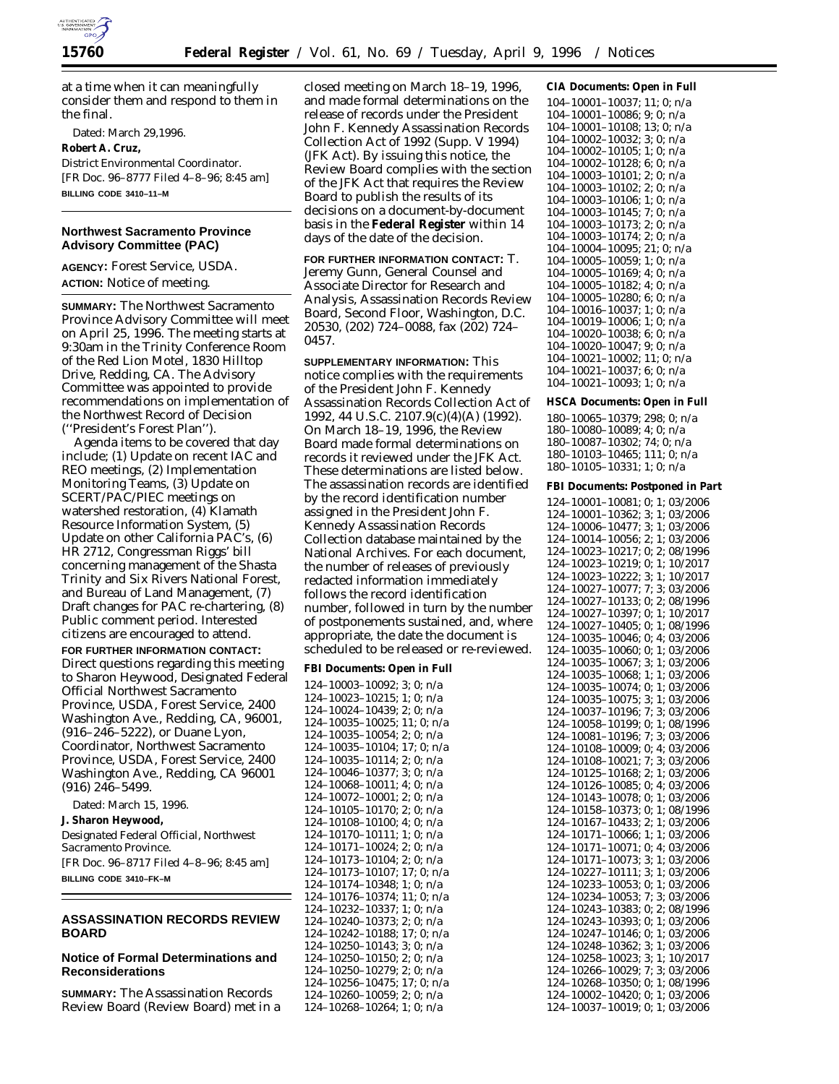

at a time when it can meaningfully consider them and respond to them in the final.

Dated: March 29,1996. **Robert A. Cruz,** *District Environmental Coordinator.* [FR Doc. 96–8777 Filed 4–8–96; 8:45 am] **BILLING CODE 3410–11–M**

## **Northwest Sacramento Province Advisory Committee (PAC)**

**AGENCY:** Forest Service, USDA. **ACTION:** Notice of meeting.

**SUMMARY:** The Northwest Sacramento Province Advisory Committee will meet on April 25, 1996. The meeting starts at 9:30am in the Trinity Conference Room of the Red Lion Motel, 1830 Hilltop Drive, Redding, CA. The Advisory Committee was appointed to provide recommendations on implementation of the Northwest Record of Decision (''President's Forest Plan'').

Agenda items to be covered that day include; (1) Update on recent IAC and REO meetings, (2) Implementation Monitoring Teams, (3) Update on SCERT/PAC/PIEC meetings on watershed restoration, (4) Klamath Resource Information System, (5) Update on other California PAC's, (6) HR 2712, Congressman Riggs' bill concerning management of the Shasta Trinity and Six Rivers National Forest, and Bureau of Land Management, (7) Draft changes for PAC re-chartering, (8) Public comment period. Interested citizens are encouraged to attend.

**FOR FURTHER INFORMATION CONTACT:** Direct questions regarding this meeting to Sharon Heywood, Designated Federal Official Northwest Sacramento Province, USDA, Forest Service, 2400 Washington Ave., Redding, CA, 96001, (916–246–5222), or Duane Lyon, Coordinator, Northwest Sacramento Province, USDA, Forest Service, 2400 Washington Ave., Redding, CA 96001 (916) 246–5499.

Dated: March 15, 1996. **J. Sharon Heywood,** *Designated Federal Official, Northwest Sacramento Province.* [FR Doc. 96–8717 Filed 4–8–96; 8:45 am] **BILLING CODE 3410–FK–M**

## **ASSASSINATION RECORDS REVIEW BOARD**

## **Notice of Formal Determinations and Reconsiderations**

**SUMMARY:** The Assassination Records Review Board (Review Board) met in a

closed meeting on March 18–19, 1996, and made formal determinations on the release of records under the President John F. Kennedy Assassination Records Collection Act of 1992 (Supp. V 1994) (JFK Act). By issuing this notice, the Review Board complies with the section of the JFK Act that requires the Review Board to publish the results of its decisions on a document-by-document basis in the **Federal Register** within 14 days of the date of the decision.

**FOR FURTHER INFORMATION CONTACT:** T. Jeremy Gunn, General Counsel and Associate Director for Research and Analysis, Assassination Records Review Board, Second Floor, Washington, D.C. 20530, (202) 724–0088, fax (202) 724– 0457.

**SUPPLEMENTARY INFORMATION:** This notice complies with the requirements of the President John F. Kennedy Assassination Records Collection Act of 1992, 44 U.S.C. 2107.9(c)(4)(A) (1992). On March 18–19, 1996, the Review Board made formal determinations on records it reviewed under the JFK Act. These determinations are listed below. The assassination records are identified by the record identification number assigned in the President John F. Kennedy Assassination Records Collection database maintained by the National Archives. For each document, the number of releases of previously redacted information immediately follows the record identification number, followed in turn by the number of postponements sustained, and, where appropriate, the date the document is scheduled to be released or re-reviewed.

**FBI Documents: Open in Full**

124–10003–10092; 3; 0; n/a 124–10023–10215; 1; 0; n/a 124–10024–10439; 2; 0; n/a 124–10035–10025; 11; 0; n/a 124–10035–10054; 2; 0; n/a 124–10035–10104; 17; 0; n/a 124–10035–10114; 2; 0; n/a 124–10046–10377; 3; 0; n/a 124–10068–10011; 4; 0; n/a 124–10072–10001; 2; 0; n/a 124–10105–10170; 2; 0; n/a 124–10108–10100; 4; 0; n/a 124–10170–10111; 1; 0; n/a 124–10171–10024; 2; 0; n/a 124–10173–10104; 2; 0; n/a 124–10173–10107; 17; 0; n/a 124–10174–10348; 1; 0; n/a 124–10176–10374; 11; 0; n/a 124–10232–10337; 1; 0; n/a 124–10240–10373; 2; 0; n/a 124–10242–10188; 17; 0; n/a 124–10250–10143; 3; 0; n/a 124–10250–10150; 2; 0; n/a 124–10250–10279; 2; 0; n/a 124–10256–10475; 17; 0; n/a 124–10260–10059; 2; 0; n/a 124–10268–10264; 1; 0; n/a

**CIA Documents: Open in Full** 104–10001–10037; 11; 0; n/a 104–10001–10086; 9; 0; n/a 104–10001–10108; 13; 0; n/a 104–10002–10032; 3; 0; n/a 104–10002–10105; 1; 0; n/a 104–10002–10128; 6; 0; n/a 104–10003–10101; 2; 0; n/a 104–10003–10102; 2; 0; n/a 104–10003–10106; 1; 0; n/a 104–10003–10145; 7; 0; n/a 104–10003–10173; 2; 0; n/a 104–10003–10174; 2; 0; n/a 104–10004–10095; 21; 0; n/a 104–10005–10059; 1; 0; n/a 104–10005–10169; 4; 0; n/a 104–10005–10182; 4; 0; n/a 104–10005–10280; 6; 0; n/a 104–10016–10037; 1; 0; n/a 104–10019–10006; 1; 0; n/a 104–10020–10038; 6; 0; n/a 104–10020–10047; 9; 0; n/a 104–10021–10002; 11; 0; n/a 104–10021–10037; 6; 0; n/a 104–10021–10093; 1; 0; n/a

**HSCA Documents: Open in Full**

180–10065–10379; 298; 0; n/a 180–10080–10089; 4; 0; n/a 180–10087–10302; 74; 0; n/a 180–10103–10465; 111; 0; n/a 180–10105–10331; 1; 0; n/a

#### **FBI Documents: Postponed in Part**

124–10001–10081; 0; 1; 03/2006 124–10001–10362; 3; 1; 03/2006 124–10006–10477; 3; 1; 03/2006 124–10014–10056; 2; 1; 03/2006 124–10023–10217; 0; 2; 08/1996 124–10023–10219; 0; 1; 10/2017 124–10023–10222; 3; 1; 10/2017 124–10027–10077; 7; 3; 03/2006 124–10027–10133; 0; 2; 08/1996 124–10027–10397; 0; 1; 10/2017 124–10027–10405; 0; 1; 08/1996 124–10035–10046; 0; 4; 03/2006 124–10035–10060; 0; 1; 03/2006 124–10035–10067; 3; 1; 03/2006 124–10035–10068; 1; 1; 03/2006 124–10035–10074; 0; 1; 03/2006 124–10035–10075; 3; 1; 03/2006 124–10037–10196; 7; 3; 03/2006 124–10058–10199; 0; 1; 08/1996 124–10081–10196; 7; 3; 03/2006 124–10108–10009; 0; 4; 03/2006 124–10108–10021; 7; 3; 03/2006 124–10125–10168; 2; 1; 03/2006 124–10126–10085; 0; 4; 03/2006 124–10143–10078; 0; 1; 03/2006 124–10158–10373; 0; 1; 08/1996 124–10167–10433; 2; 1; 03/2006 124–10171–10066; 1; 1; 03/2006 124–10171–10071; 0; 4; 03/2006 124–10171–10073; 3; 1; 03/2006 124–10227–10111; 3; 1; 03/2006 124–10233–10053; 0; 1; 03/2006 124–10234–10053; 7; 3; 03/2006 124–10243–10383; 0; 2; 08/1996 124–10243–10393; 0; 1; 03/2006 124–10247–10146; 0; 1; 03/2006 124–10248–10362; 3; 1; 03/2006 124–10258–10023; 3; 1; 10/2017 124–10266–10029; 7; 3; 03/2006 124–10268–10350; 0; 1; 08/1996 124–10002–10420; 0; 1; 03/2006 124–10037–10019; 0; 1; 03/2006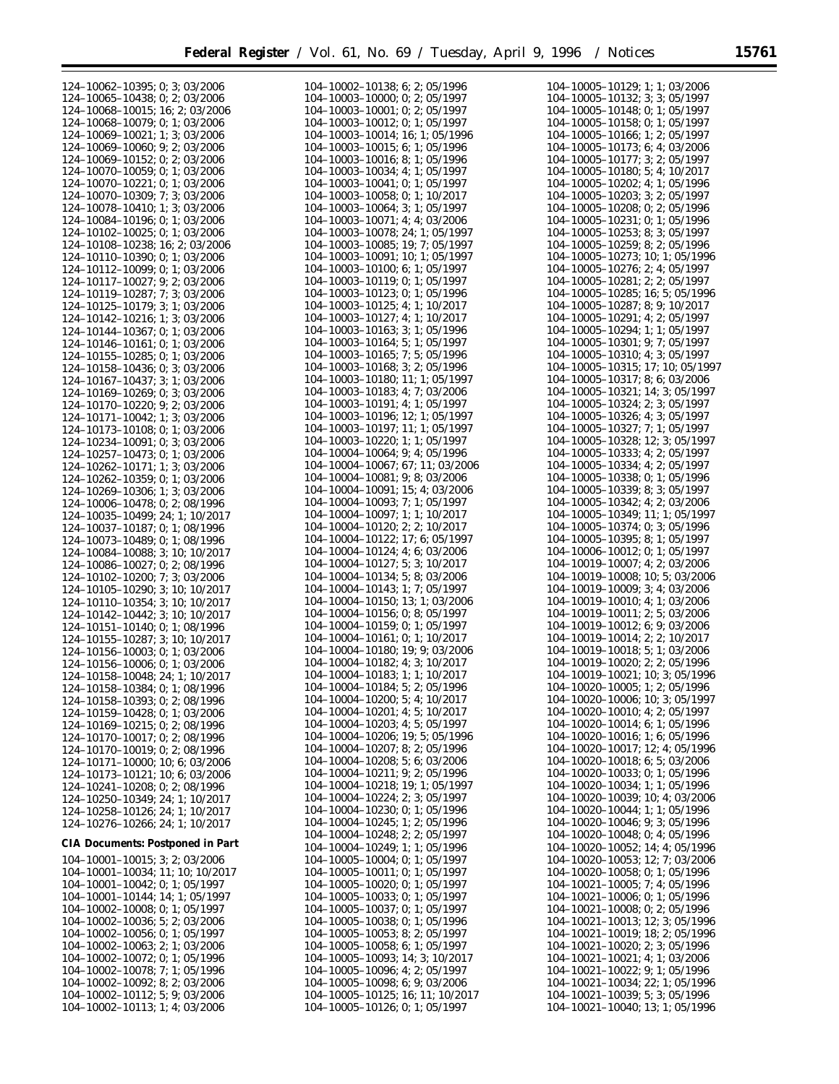| $124 - 10062 - 10395$ ; 0; 3; 03/2006                                  | $104-10002-10138$ ; 6; 2; 05/1996                                        | $104-10005-10129$ ; 1; 1; 03/2006                                       |
|------------------------------------------------------------------------|--------------------------------------------------------------------------|-------------------------------------------------------------------------|
| $124 - 10065 - 10438$ ; 0; 2; 03/2006                                  | $104 - 10003 - 10000$ ; 0; 2; 05/1997                                    | 104-10005-10132; 3; 3; 05/1997                                          |
| $124 - 10068 - 10015$ ; 16; 2; 03/2006                                 | $104-10003-10001$ ; 0; 2; 05/1997                                        | $104-10005-10148$ ; 0; 1; 05/1997                                       |
|                                                                        |                                                                          |                                                                         |
| $124 - 10068 - 10079$ ; 0; 1; 03/2006                                  | $104-10003-10012$ ; 0; 1; 05/1997                                        | $104-10005-10158$ ; 0; 1; 05/1997                                       |
| $124 - 10069 - 10021$ ; 1; 3; 03/2006                                  | $104-10003-10014$ ; 16; 1; 05/1996                                       | $104-10005-10166$ ; 1; 2; 05/1997                                       |
| 124-10069-10060; 9; 2; 03/2006                                         | 104-10003-10015: 6: 1: 05/1996                                           | $104-10005-10173$ ; 6; 4; 03/2006                                       |
|                                                                        |                                                                          |                                                                         |
| $124 - 10069 - 10152$ ; 0; 2; 03/2006                                  | $104-10003-10016$ ; 8; 1; 05/1996                                        | $104-10005-10177$ ; 3; 2; 05/1997                                       |
| $124 - 10070 - 10059$ ; 0; 1; 03/2006                                  | $104-10003-10034$ ; 4; 1; 05/1997                                        | $104-10005-10180$ ; 5; 4; 10/2017                                       |
| $124 - 10070 - 10221$ ; 0; 1; 03/2006                                  | $104-10003-10041$ ; 0; 1; 05/1997                                        | $104-10005-10202$ ; 4; 1; 05/1996                                       |
|                                                                        |                                                                          |                                                                         |
| $124 - 10070 - 10309$ ; 7; 3; 03/2006                                  | $104-10003-10058$ ; 0; 1; 10/2017                                        | $104-10005-10203$ ; 3; 2; 05/1997                                       |
| $124 - 10078 - 10410$ ; 1; 3; 03/2006                                  | $104-10003-10064$ ; 3; 1; 05/1997                                        | $104-10005-10208$ ; 0; 2; 05/1996                                       |
| $124 - 10084 - 10196$ ; 0; 1; 03/2006                                  | $104-10003-10071$ ; 4; 4; 03/2006                                        | $104-10005-10231$ ; 0; 1; 05/1996                                       |
|                                                                        |                                                                          |                                                                         |
| $124 - 10102 - 10025$ ; 0; 1; 03/2006                                  | 104-10003-10078; 24; 1; 05/1997                                          | $104 - 10005 - 10253$ ; 8; 3; 05/1997                                   |
| 124-10108-10238; 16; 2; 03/2006                                        | $104-10003-10085$ ; 19; 7; 05/1997                                       | 104-10005-10259; 8; 2; 05/1996                                          |
| 124-10110-10390; 0; 1; 03/2006                                         | $104-10003-10091$ ; 10; 1; 05/1997                                       | $104-10005-10273$ ; 10; 1; 05/1996                                      |
|                                                                        |                                                                          |                                                                         |
| $124 - 10112 - 10099$ ; 0; 1; 03/2006                                  | $104-10003-10100$ ; 6; 1; 05/1997                                        | $104-10005-10276$ ; 2; 4; 05/1997                                       |
| $124 - 10117 - 10027$ ; 9; 2; 03/2006                                  | 104-10003-10119; 0; 1; 05/1997                                           | 104-10005-10281; 2; 2; 05/1997                                          |
| 124-10119-10287; 7; 3; 03/2006                                         | $104-10003-10123$ ; 0; 1; 05/1996                                        | $104-10005-10285$ ; 16; 5; 05/1996                                      |
|                                                                        |                                                                          |                                                                         |
| $124 - 10125 - 10179$ ; 3; 1; 03/2006                                  | $104-10003-10125$ ; 4; 1; 10/2017                                        | $104-10005-10287$ ; 8; 9; 10/2017                                       |
| $124 - 10142 - 10216$ ; 1; 3; 03/2006                                  | $104-10003-10127$ ; 4; 1; 10/2017                                        | $104-10005-10291$ ; 4; 2; 05/1997                                       |
|                                                                        |                                                                          |                                                                         |
| $124 - 10144 - 10367$ ; 0; 1; 03/2006                                  | $104-10003-10163$ ; 3; 1; 05/1996                                        | $104-10005-10294$ ; 1; 1; 05/1997                                       |
| $124 - 10146 - 10161$ ; 0; 1; 03/2006                                  | $104-10003-10164$ ; 5; 1; 05/1997                                        | $104 - 10005 - 10301$ ; 9; 7; 05/1997                                   |
| 124-10155-10285; 0; 1; 03/2006                                         | $104-10003-10165$ ; 7; 5; 05/1996                                        | 104-10005-10310; 4; 3; 05/1997                                          |
|                                                                        |                                                                          |                                                                         |
| $124 - 10158 - 10436$ ; 0; 3; 03/2006                                  | $104-10003-10168$ ; 3; 2; 05/1996                                        | $104-10005-10315$ ; 17; 10; 05/1997                                     |
| $124 - 10167 - 10437$ ; 3; 1; 03/2006                                  | $104-10003-10180$ ; 11; 1; 05/1997                                       | $104-10005-10317$ ; 8; 6; 03/2006                                       |
| $124 - 10169 - 10269$ ; 0; 3; 03/2006                                  | $104 - 10003 - 10183$ ; 4; 7; 03/2006                                    | $104-10005-10321$ ; 14; 3; 05/1997                                      |
|                                                                        |                                                                          |                                                                         |
| $124 - 10170 - 10220$ ; 9; 2; 03/2006                                  | $104 - 10003 - 10191$ ; 4; 1; 05/1997                                    | $104-10005-10324$ ; 2; 3; 05/1997                                       |
| $124 - 10171 - 10042$ ; 1; 3; 03/2006                                  | $104-10003-10196$ ; 12; 1; 05/1997                                       | $104-10005-10326$ ; 4; 3; 05/1997                                       |
|                                                                        | $104-10003-10197; 11; 1; 05/1997$                                        | 104-10005-10327; 7; 1; 05/1997                                          |
| 124-10173-10108; 0; 1; 03/2006                                         |                                                                          |                                                                         |
| 124-10234-10091; 0; 3; 03/2006                                         | $104-10003-10220$ ; 1; 1; 05/1997                                        | 104-10005-10328; 12; 3; 05/1997                                         |
| $124 - 10257 - 10473$ ; 0; 1; 03/2006                                  | $104-10004-10064$ ; 9; 4; 05/1996                                        | $104 - 10005 - 10333$ ; 4; 2; 05/1997                                   |
|                                                                        |                                                                          |                                                                         |
| $124 - 10262 - 10171$ ; 1; 3; 03/2006                                  | 104-10004-10067; 67; 11; 03/2006                                         | $104-10005-10334$ ; 4; 2; 05/1997                                       |
| $124 - 10262 - 10359$ ; 0; 1; 03/2006                                  | $104-10004-10081$ ; 9; 8; 03/2006                                        | $104-10005-10338$ ; 0; 1; 05/1996                                       |
| $124 - 10269 - 10306$ ; 1; 3; 03/2006                                  | $104-10004-10091$ ; 15; 4; 03/2006                                       | $104-10005-10339$ ; 8; 3; 05/1997                                       |
|                                                                        | $104-10004-10093$ ; 7; 1; 05/1997                                        |                                                                         |
| $124 - 10006 - 10478$ ; 0; 2; 08/1996                                  |                                                                          | $104-10005-10342$ ; 4; 2; 03/2006                                       |
| $124 - 10035 - 10499$ ; 24; 1; 10/2017                                 | $104-10004-10097$ ; 1; 1; 10/2017                                        | $104-10005-10349$ ; 11; 1; 05/1997                                      |
| $124 - 10037 - 10187$ ; 0; 1; 08/1996                                  | $104-10004-10120$ ; 2; 2; 10/2017                                        | $104-10005-10374$ ; 0; 3; 05/1996                                       |
|                                                                        | $104-10004-10122$ ; 17; 6; 05/1997                                       | 104-10005-10395; 8; 1; 05/1997                                          |
| $124 - 10073 - 10489$ ; 0; 1; 08/1996                                  |                                                                          |                                                                         |
| 124-10084-10088; 3; 10; 10/2017                                        | $104-10004-10124$ ; 4; 6; 03/2006                                        | 104-10006-10012; 0; 1; 05/1997                                          |
| $124 - 10086 - 10027$ ; 0; 2; 08/1996                                  | $104-10004-10127$ ; 5; 3; 10/2017                                        | $104-10019-10007$ ; 4; 2; 03/2006                                       |
|                                                                        | $104-10004-10134$ ; 5; 8; 03/2006                                        | 104-10019-10008; 10; 5; 03/2006                                         |
| $124 - 10102 - 10200$ ; 7; 3; 03/2006                                  |                                                                          |                                                                         |
| 124-10105-10290; 3; 10; 10/2017                                        | $104-10004-10143$ ; 1; 7; 05/1997                                        | $104-10019-10009$ ; 3; 4; 03/2006                                       |
| 124-10110-10354; 3; 10; 10/2017                                        | 104-10004-10150; 13; 1; 03/2006                                          | $104-10019-10010$ ; 4; 1; 03/2006                                       |
| 124-10142-10442; 3; 10; 10/2017                                        | $104 - 10004 - 10156$ ; 0; 8; 05/1997                                    | $104-10019-10011$ ; 2; 5; 03/2006                                       |
|                                                                        |                                                                          |                                                                         |
| 124-10151-10140; 0; 1; 08/1996                                         | 104-10004-10159; 0; 1; 05/1997                                           | 104-10019-10012; 6; 9; 03/2006                                          |
| 124-10155-10287; 3; 10; 10/2017                                        | $104-10004-10161$ ; 0; 1; 10/2017                                        | $104-10019-10014$ ; 2; 2; 10/2017                                       |
| $124 - 10156 - 10003$ ; 0; 1; 03/2006                                  | 104-10004-10180; 19; 9; 03/2006                                          | 104-10019-10018; 5; 1; 03/2006                                          |
|                                                                        |                                                                          |                                                                         |
| $124 - 10156 - 10006$ ; 0; 1; 03/2006                                  | $104-10004-10182$ ; 4; 3; $10/2017$                                      | $104 - 10019 - 10020$ ; 2; 2; 05/1996                                   |
| 124-10158-10048; 24; 1; 10/2017                                        | 104-10004-10183; 1; 1; 10/2017                                           | 104-10019-10021; 10; 3; 05/1996                                         |
| 124-10158-10384; 0; 1; 08/1996                                         | 104-10004-10184; 5; 2; 05/1996                                           | 104-10020-10005; 1; 2; 05/1996                                          |
|                                                                        |                                                                          |                                                                         |
| $124 - 10158 - 10393$ ; 0; 2; 08/1996                                  | $104-10004-10200$ ; 5; 4; 10/2017                                        | $104-10020-10006$ ; 10; 3; 05/1997                                      |
| 124-10159-10428; 0; 1; 03/2006                                         | $104-10004-10201$ ; 4; 5; $10/2017$                                      | 104-10020-10010; 4; 2; 05/1997                                          |
|                                                                        | 104-10004-10203; 4; 5; 05/1997                                           | $104-10020-10014$ ; 6; 1; 05/1996                                       |
| $124 - 10169 - 10215$ ; 0; 2; 08/1996                                  |                                                                          |                                                                         |
| $124 - 10170 - 10017$ ; 0; 2; 08/1996                                  | $104-10004-10206$ ; 19; 5; 05/1996                                       | $104-10020-10016$ ; 1; 6; 05/1996                                       |
| $124 - 10170 - 10019$ ; 0; 2; 08/1996                                  | $104-10004-10207$ ; 8; 2; 05/1996                                        | 104-10020-10017; 12; 4; 05/1996                                         |
|                                                                        | $104-10004-10208$ ; 5; 6; 03/2006                                        | $104-10020-10018$ ; 6; 5; 03/2006                                       |
| $124 - 10171 - 10000$ ; 10; 6; 03/2006                                 |                                                                          |                                                                         |
| 124-10173-10121; 10; 6; 03/2006                                        | $104 - 10004 - 10211$ ; 9; 2; 05/1996                                    | 104-10020-10033; 0; 1; 05/1996                                          |
| $124 - 10241 - 10208$ ; 0; 2; 08/1996                                  | $104-10004-10218$ ; 19; 1; 05/1997                                       | $104-10020-10034$ ; 1; 1; 05/1996                                       |
|                                                                        | $104-10004-10224$ ; 2; 3; 05/1997                                        | 104-10020-10039; 10; 4; 03/2006                                         |
| 124-10250-10349; 24; 1; 10/2017                                        |                                                                          |                                                                         |
| 124-10258-10126; 24; 1; 10/2017                                        | 104-10004-10230; 0; 1; 05/1996                                           | 104-10020-10044; 1; 1; 05/1996                                          |
| 124-10276-10266; 24; 1; 10/2017                                        | $104-10004-10245$ ; 1; 2; 05/1996                                        | $104-10020-10046$ ; 9; 3; 05/1996                                       |
|                                                                        | $104-10004-10248$ ; 2; 2; 05/1997                                        | $104-10020-10048$ ; 0; 4; 05/1996                                       |
| CIA Documents: Postponed in Part                                       |                                                                          |                                                                         |
|                                                                        | $104-10004-10249$ ; 1; 1; 05/1996                                        | $104-10020-10052$ ; 14; 4; 05/1996                                      |
| $104-10001-10015$ ; 3; 2; 03/2006                                      | $104-10005-10004$ ; 0; 1; 05/1997                                        | 104-10020-10053; 12; 7; 03/2006                                         |
| 104-10001-10034; 11; 10; 10/2017                                       | $104-10005-10011$ ; 0; 1; 05/1997                                        | $104-10020-10058$ ; 0; 1; 05/1996                                       |
|                                                                        |                                                                          |                                                                         |
| $104-10001-10042$ ; 0; 1; 05/1997                                      | $104-10005-10020$ ; 0; 1; 05/1997                                        | $104-10021-10005$ ; 7; 4; 05/1996                                       |
| $104-10001-10144$ ; 14; 1; 05/1997                                     | $104-10005-10033$ ; 0; 1; 05/1997                                        | $104-10021-10006$ ; 0; 1; 05/1996                                       |
| $104-10002-10008$ ; 0; 1; 05/1997                                      | $104-10005-10037$ ; 0; 1; 05/1997                                        | $104-10021-10008$ ; 0; 2; 05/1996                                       |
|                                                                        |                                                                          |                                                                         |
| $104-10002-10036$ ; 5; 2; 03/2006                                      | $104-10005-10038$ ; 0; 1; 05/1996                                        | $104-10021-10013$ ; 12; 3; 05/1996                                      |
| $104-10002-10056$ ; 0; 1; 05/1997                                      | $104-10005-10053$ ; 8; 2; 05/1997                                        | $104-10021-10019$ ; 18; 2; 05/1996                                      |
| $104-10002-10063$ ; 2; 1; 03/2006                                      | $104-10005-10058$ ; 6; 1; 05/1997                                        | $104-10021-10020$ ; 2; 3; 05/1996                                       |
|                                                                        |                                                                          |                                                                         |
| $104-10002-10072$ ; 0; 1; 05/1996                                      | $104-10005-10093$ ; 14; 3; 10/2017                                       | 104-10021-10021; 4; 1; 03/2006                                          |
| $104-10002-10078$ ; 7; 1; 05/1996                                      | $104-10005-10096$ ; 4; 2; 05/1997                                        | $104-10021-10022$ ; 9; 1; 05/1996                                       |
| $104-10002-10092$ ; 8; 2; 03/2006                                      | $104-10005-10098$ ; 6; 9; 03/2006                                        | $104-10021-10034$ ; 22; 1; 05/1996                                      |
|                                                                        |                                                                          |                                                                         |
|                                                                        |                                                                          |                                                                         |
| $104-10002-10112$ ; 5; 9; 03/2006<br>$104-10002-10113$ ; 1; 4; 03/2006 | $104-10005-10125$ ; 16; 11; 10/2017<br>$104-10005-10126$ ; 0; 1; 05/1997 | $104-10021-10039$ ; 5; 3; 05/1996<br>$104-10021-10040$ ; 13; 1; 05/1996 |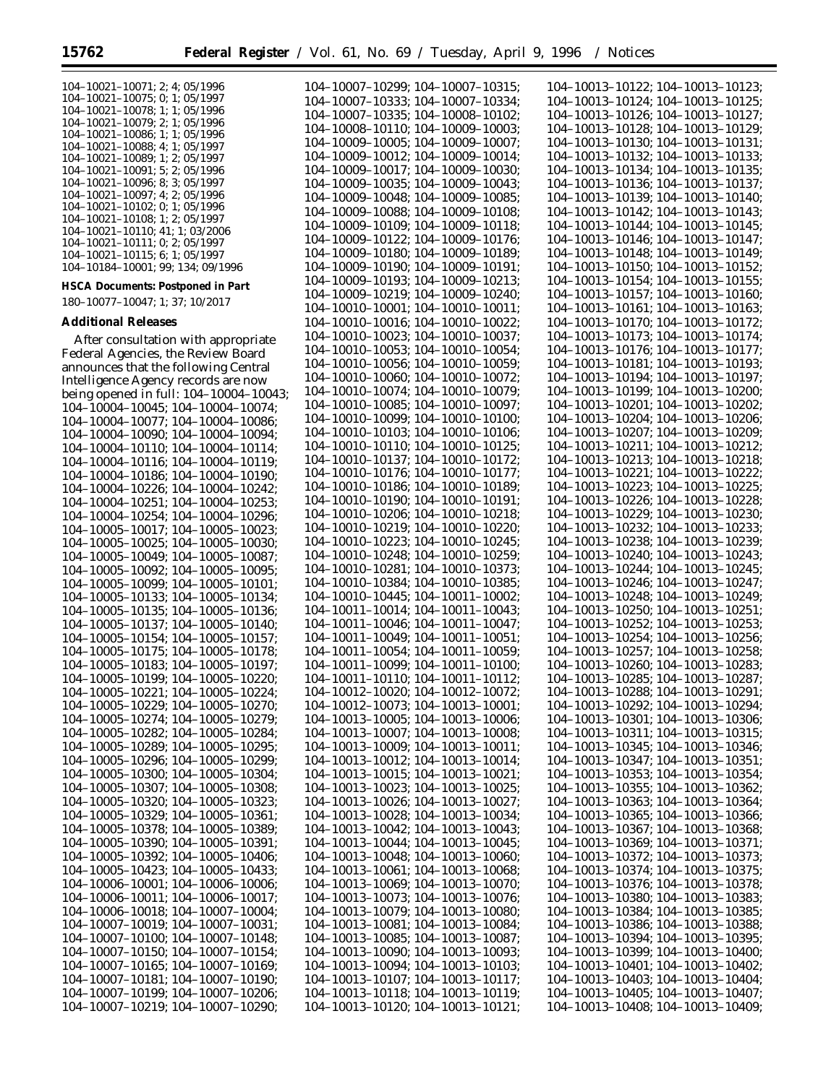$\equiv$ 

104–10007–10219; 104–10007–10290;

| 104-10021-10071; 2; 4; 05/1996           | 104-10007-10299; 104-10007-10315;       | 104-10013-10122; 104-10013-10123;       |
|------------------------------------------|-----------------------------------------|-----------------------------------------|
| $104-10021-10075$ ; 0; 1; 05/1997        |                                         | 104-10013-10124; 104-10013-10125;       |
| $104-10021-10078$ ; 1; 1; 05/1996        | 104-10007-10333; 104-10007-10334;       |                                         |
| $104-10021-10079; 2; 1; 05/1996$         | 104-10007-10335; 104-10008-10102;       | 104-10013-10126; 104-10013-10127;       |
| 104-10021-10086; 1; 1; 05/1996           | 104-10008-10110; 104-10009-10003;       | 104-10013-10128; 104-10013-10129;       |
| 104-10021-10088; 4; 1; 05/1997           | 104-10009-10005; 104-10009-10007;       | 104-10013-10130; 104-10013-10131;       |
| $104-10021-10089$ ; 1; 2; 05/1997        | $104-10009-10012$ ; $104-10009-10014$ ; | 104-10013-10132; 104-10013-10133;       |
| $104-10021-10091$ ; 5; 2; 05/1996        | 104-10009-10017; 104-10009-10030;       | 104-10013-10134; 104-10013-10135;       |
| $104-10021-10096$ ; 8; 3; 05/1997        |                                         |                                         |
| 104-10021-10097; 4; 2; 05/1996           | 104-10009-10035; 104-10009-10043;       | 104-10013-10136; 104-10013-10137;       |
| $104-10021-10102$ ; 0; 1; 05/1996        | 104-10009-10048; 104-10009-10085;       | 104-10013-10139; 104-10013-10140;       |
| 104-10021-10108; 1; 2; 05/1997           | $104-10009-10088$ ; $104-10009-10108$ ; | 104-10013-10142; 104-10013-10143;       |
| $104-10021-10110$ ; 41; 1; 03/2006       | $104-10009-10109$ ; $104-10009-10118$ ; | 104-10013-10144; 104-10013-10145;       |
| $104-10021-10111$ ; 0; 2; 05/1997        | 104-10009-10122; 104-10009-10176;       | 104-10013-10146; 104-10013-10147;       |
| $104-10021-10115$ ; 6; 1; 05/1997        | 104-10009-10180; 104-10009-10189;       | 104-10013-10148; 104-10013-10149;       |
| 104-10184-10001; 99; 134; 09/1996        | 104-10009-10190; 104-10009-10191;       | 104-10013-10150; 104-10013-10152;       |
|                                          |                                         |                                         |
| <b>HSCA Documents: Postponed in Part</b> | 104-10009-10193; 104-10009-10213;       | 104-10013-10154; 104-10013-10155;       |
| 180-10077-10047; 1; 37; 10/2017          | 104-10009-10219; 104-10009-10240;       | 104-10013-10157; 104-10013-10160;       |
|                                          | 104-10010-10001; 104-10010-10011;       | 104-10013-10161; 104-10013-10163;       |
| <b>Additional Releases</b>               | $104-10010-10016$ ; $104-10010-10022$ ; | 104-10013-10170; 104-10013-10172;       |
| After consultation with appropriate      | $104-10010-10023$ ; $104-10010-10037$ ; | 104-10013-10173; 104-10013-10174;       |
|                                          | 104-10010-10053; 104-10010-10054;       | 104-10013-10176; 104-10013-10177;       |
| Federal Agencies, the Review Board       | $104-10010-10056$ ; $104-10010-10059$ ; | 104-10013-10181; 104-10013-10193;       |
| announces that the following Central     |                                         |                                         |
| Intelligence Agency records are now      | 104-10010-10060; 104-10010-10072;       | 104-10013-10194; 104-10013-10197;       |
| being opened in full: 104-10004-10043;   | 104-10010-10074; 104-10010-10079;       | 104-10013-10199; 104-10013-10200;       |
| 104-10004-10045; 104-10004-10074;        | 104-10010-10085; 104-10010-10097;       | $104-10013-10201$ ; $104-10013-10202$ ; |
| $104-10004-10077$ ; $104-10004-10086$ ;  | 104-10010-10099; 104-10010-10100;       | 104-10013-10204; 104-10013-10206;       |
| 104-10004-10090; 104-10004-10094;        | 104-10010-10103; 104-10010-10106;       | 104-10013-10207; 104-10013-10209;       |
| 104-10004-10110; 104-10004-10114;        | $104-10010-10110$ ; $104-10010-10125$ ; | 104-10013-10211; 104-10013-10212;       |
|                                          | 104-10010-10137; 104-10010-10172;       | 104-10013-10213; 104-10013-10218;       |
| 104-10004-10116; 104-10004-10119;        |                                         |                                         |
| 104-10004-10186; 104-10004-10190;        | 104-10010-10176; 104-10010-10177;       | 104-10013-10221; 104-10013-10222;       |
| $104-10004-10226$ ; $104-10004-10242$ ;  | $104-10010-10186$ ; $104-10010-10189$ ; | 104-10013-10223; 104-10013-10225;       |
| 104-10004-10251; 104-10004-10253;        | 104-10010-10190; 104-10010-10191;       | 104-10013-10226; 104-10013-10228;       |
| $104-10004-10254$ ; $104-10004-10296$ ;  | 104-10010-10206; 104-10010-10218;       | 104-10013-10229; 104-10013-10230;       |
| 104-10005-10017; 104-10005-10023;        | $104-10010-10219$ ; $104-10010-10220$ ; | 104-10013-10232; 104-10013-10233;       |
| 104-10005-10025; 104-10005-10030;        | 104-10010-10223; 104-10010-10245;       | 104-10013-10238; 104-10013-10239;       |
| $104-10005-10049; 104-10005-10087;$      | 104-10010-10248; 104-10010-10259;       | 104-10013-10240; 104-10013-10243;       |
|                                          | $104-10010-10281$ ; $104-10010-10373$ ; | 104-10013-10244; 104-10013-10245;       |
| 104-10005-10092; 104-10005-10095;        |                                         |                                         |
| $104-10005-10099$ ; $104-10005-10101$ ;  | 104-10010-10384; 104-10010-10385;       | 104-10013-10246; 104-10013-10247;       |
| 104-10005-10133; 104-10005-10134;        | 104-10010-10445; 104-10011-10002;       | 104-10013-10248; 104-10013-10249;       |
| 104-10005-10135; 104-10005-10136;        | $104-10011-10014$ ; $104-10011-10043$ ; | 104-10013-10250; 104-10013-10251;       |
| 104-10005-10137; 104-10005-10140;        | $104-10011-10046$ ; $104-10011-10047$ ; | 104-10013-10252; 104-10013-10253;       |
| 104-10005-10154; 104-10005-10157;        | $104-10011-10049; 104-10011-10051;$     | 104-10013-10254; 104-10013-10256;       |
| 104-10005-10175; 104-10005-10178;        | $104-10011-10054$ ; $104-10011-10059$ ; | 104-10013-10257; 104-10013-10258;       |
| 104-10005-10183; 104-10005-10197;        | $104-10011-10099$ ; $104-10011-10100$ ; | 104-10013-10260; 104-10013-10283;       |
| 104-10005-10199; 104-10005-10220;        | $104-10011-10110$ ; $104-10011-10112$ ; | 104-10013-10285; 104-10013-10287;       |
|                                          |                                         |                                         |
| 104-10005-10221; 104-10005-10224;        | 104-10012-10020; 104-10012-10072;       | 104-10013-10288; 104-10013-10291;       |
| $104-10005-10229$ ; $104-10005-10270$ ;  | 104-10012-10073; 104-10013-10001;       | $104-10013-10292$ ; $104-10013-10294$ ; |
| 104-10005-10274; 104-10005-10279;        | $104-10013-10005$ ; $104-10013-10006$ ; | 104-10013-10301; 104-10013-10306;       |
| $104-10005-10282$ ; $104-10005-10284$ ;  | $104-10013-10007$ ; $104-10013-10008$ ; | 104-10013-10311; 104-10013-10315;       |
| $104-10005-10289$ ; $104-10005-10295$ ;  | $104-10013-10009$ ; $104-10013-10011$ ; | $104-10013-10345$ ; $104-10013-10346$ ; |
| 104-10005-10296; 104-10005-10299;        | $104-10013-10012$ ; $104-10013-10014$ ; | 104-10013-10347; 104-10013-10351;       |
| $104-10005-10300; 104-10005-10304;$      | $104-10013-10015$ ; $104-10013-10021$ ; | $104-10013-10353$ ; $104-10013-10354$ ; |
| 104-10005-10307; 104-10005-10308;        | $104-10013-10023$ ; $104-10013-10025$ ; | 104-10013-10355; 104-10013-10362;       |
|                                          |                                         |                                         |
| 104-10005-10320; 104-10005-10323;        | $104-10013-10026$ ; $104-10013-10027$ ; | 104-10013-10363; 104-10013-10364;       |
| $104-10005-10329$ ; $104-10005-10361$ ;  | $104-10013-10028$ ; $104-10013-10034$ ; | $104-10013-10365$ ; $104-10013-10366$ ; |
| $104-10005-10378$ ; $104-10005-10389$ ;  | 104-10013-10042; 104-10013-10043;       | 104-10013-10367; 104-10013-10368;       |
| 104-10005-10390; 104-10005-10391;        | $104-10013-10044$ ; $104-10013-10045$ ; | 104-10013-10369; 104-10013-10371;       |
| $104-10005-10392$ ; $104-10005-10406$ ;  | $104-10013-10048$ ; $104-10013-10060$ ; | 104-10013-10372; 104-10013-10373;       |
| 104-10005-10423; 104-10005-10433;        | 104-10013-10061; 104-10013-10068;       | 104-10013-10374; 104-10013-10375;       |
| $104-10006-10001$ ; $104-10006-10006$ ;  | $104-10013-10069$ ; $104-10013-10070$ ; | 104-10013-10376; 104-10013-10378;       |
| $104-10006-10011$ ; $104-10006-10017$ ;  | $104-10013-10073$ ; $104-10013-10076$ ; | 104-10013-10380; 104-10013-10383;       |
|                                          |                                         |                                         |
| $104-10006-10018$ ; $104-10007-10004$ ;  | $104-10013-10079$ ; $104-10013-10080$ ; | 104-10013-10384; 104-10013-10385;       |
| $104-10007-10019$ ; $104-10007-10031$ ;  | $104-10013-10081$ ; $104-10013-10084$ ; | 104-10013-10386; 104-10013-10388;       |
| $104-10007-10100$ ; $104-10007-10148$ ;  | $104-10013-10085$ ; $104-10013-10087$ ; | 104-10013-10394; 104-10013-10395;       |
| $104-10007-10150$ ; $104-10007-10154$ ;  | $104-10013-10090; 104-10013-10093;$     | $104-10013-10399$ ; $104-10013-10400$ ; |
| 104-10007-10165; 104-10007-10169;        | $104-10013-10094$ ; $104-10013-10103$ ; | $104-10013-10401$ ; $104-10013-10402$ ; |
| $104-10007-10181$ ; $104-10007-10190$ ;  | $104-10013-10107$ ; $104-10013-10117$ ; | $104-10013-10403$ ; $104-10013-10404$ ; |
| 104-10007-10199; 104-10007-10206;        | 104-10013-10118; 104-10013-10119;       | $104-10013-10405$ ; $104-10013-10407$ ; |
|                                          |                                         |                                         |

104–10013–10120; 104–10013–10121;

104–10013–10408; 104–10013–10409;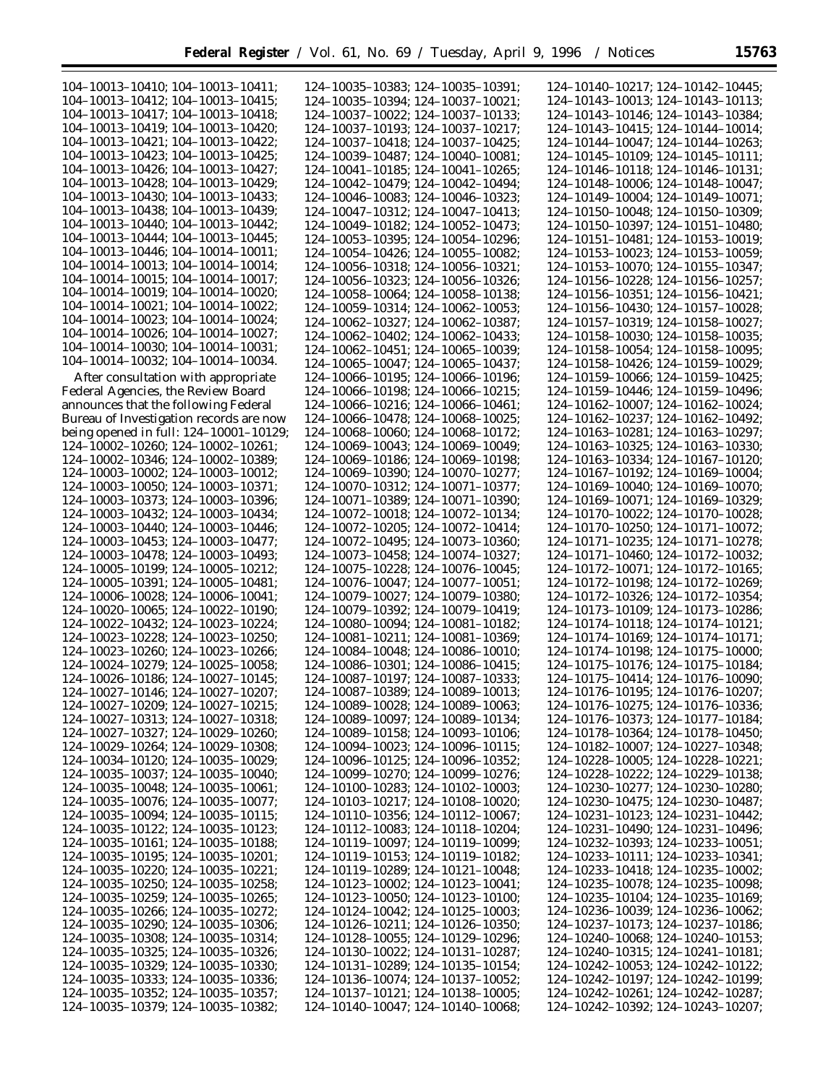104–10013–10410; 104–10013–10411; 104–10013–10412; 104–10013–10415; 104–10013–10417; 104–10013–10418; 104–10013–10419; 104–10013–10420; 104–10013–10421; 104–10013–10422; 104–10013–10423; 104–10013–10425; 104–10013–10426; 104–10013–10427; 104–10013–10428; 104–10013–10429; 104–10013–10430; 104–10013–10433; 104–10013–10438; 104–10013–10439; 104–10013–10440; 104–10013–10442; 104–10013–10444; 104–10013–10445; 104–10013–10446; 104–10014–10011; 104–10014–10013; 104–10014–10014; 104–10014–10015; 104–10014–10017; 104–10014–10019; 104–10014–10020; 104–10014–10021; 104–10014–10022; 104–10014–10023; 104–10014–10024; 104–10014–10026; 104–10014–10027; 104–10014–10030; 104–10014–10031; 104–10014–10032; 104–10014–10034.

After consultation with appropriate Federal Agencies, the Review Board announces that the following Federal Bureau of Investigation records are now being opened in full: 124–10001–10129; 124–10002–10260; 124–10002–10261; 124–10002–10346; 124–10002–10389; 124–10003–10002; 124–10003–10012; 124–10003–10050; 124–10003–10371; 124–10003–10373; 124–10003–10396; 124–10003–10432; 124–10003–10434; 124–10003–10440; 124–10003–10446; 124–10003–10453; 124–10003–10477; 124–10003–10478; 124–10003–10493; 124–10005–10199; 124–10005–10212; 124–10005–10391; 124–10005–10481; 124–10006–10028; 124–10006–10041; 124–10020–10065; 124–10022–10190; 124–10022–10432; 124–10023–10224; 124–10023–10228; 124–10023–10250; 124–10023–10260; 124–10023–10266; 124–10024–10279; 124–10025–10058; 124–10026–10186; 124–10027–10145; 124–10027–10146; 124–10027–10207; 124–10027–10209; 124–10027–10215; 124–10027–10313; 124–10027–10318; 124–10027–10327; 124–10029–10260; 124–10029–10264; 124–10029–10308; 124–10034–10120; 124–10035–10029; 124–10035–10037; 124–10035–10040; 124–10035–10048; 124–10035–10061; 124–10035–10076; 124–10035–10077; 124–10035–10094; 124–10035–10115; 124–10035–10122; 124–10035–10123; 124–10035–10161; 124–10035–10188; 124–10035–10195; 124–10035–10201; 124–10035–10220; 124–10035–10221; 124–10035–10250; 124–10035–10258; 124–10035–10259; 124–10035–10265; 124–10035–10266; 124–10035–10272; 124–10035–10290; 124–10035–10306; 124–10035–10308; 124–10035–10314; 124–10035–10325; 124–10035–10326; 124–10035–10329; 124–10035–10330; 124–10035–10333; 124–10035–10336; 124–10035–10352; 124–10035–10357;

124–10035–10379; 124–10035–10382;

124–10035–10383; 124–10035–10391; 124–10035–10394; 124–10037–10021; 124–10037–10022; 124–10037–10133; 124–10037–10193; 124–10037–10217; 124–10037–10418; 124–10037–10425; 124–10039–10487; 124–10040–10081; 124–10041–10185; 124–10041–10265; 124–10042–10479; 124–10042–10494; 124–10046–10083; 124–10046–10323; 124–10047–10312; 124–10047–10413; 124–10049–10182; 124–10052–10473; 124–10053–10395; 124–10054–10296; 124–10054–10426; 124–10055–10082; 124–10056–10318; 124–10056–10321; 124–10056–10323; 124–10056–10326; 124–10058–10064; 124–10058–10138; 124–10059–10314; 124–10062–10053; 124–10062–10327; 124–10062–10387; 124–10062–10402; 124–10062–10433; 124–10062–10451; 124–10065–10039; 124–10065–10047; 124–10065–10437; 124–10066–10195; 124–10066–10196; 124–10066–10198; 124–10066–10215; 124–10066–10216; 124–10066–10461; 124–10066–10478; 124–10068–10025; 124–10068–10060; 124–10068–10172; 124–10069–10043; 124–10069–10049; 124–10069–10186; 124–10069–10198; 124–10069–10390; 124–10070–10277; 124–10070–10312; 124–10071–10377; 124–10071–10389; 124–10071–10390; 124–10072–10018; 124–10072–10134; 124–10072–10205; 124–10072–10414; 124–10072–10495; 124–10073–10360; 124–10073–10458; 124–10074–10327; 124–10075–10228; 124–10076–10045; 124–10076–10047; 124–10077–10051; 124–10079–10027; 124–10079–10380; 124–10079–10392; 124–10079–10419; 124–10080–10094; 124–10081–10182; 124–10081–10211; 124–10081–10369; 124–10084–10048; 124–10086–10010; 124–10086–10301; 124–10086–10415; 124–10087–10197; 124–10087–10333; 124–10087–10389; 124–10089–10013; 124–10089–10028; 124–10089–10063; 124–10089–10097; 124–10089–10134; 124–10089–10158; 124–10093–10106; 124–10094–10023; 124–10096–10115; 124–10096–10125; 124–10096–10352; 124–10099–10270; 124–10099–10276; 124–10100–10283; 124–10102–10003; 124–10103–10217; 124–10108–10020; 124–10110–10356; 124–10112–10067; 124–10112–10083; 124–10118–10204; 124–10119–10097; 124–10119–10099; 124–10119–10153; 124–10119–10182; 124–10119–10289; 124–10121–10048; 124–10123–10002; 124–10123–10041; 124–10123–10050; 124–10123–10100; 124–10124–10042; 124–10125–10003; 124–10126–10211; 124–10126–10350; 124–10128–10055; 124–10129–10296; 124–10130–10022; 124–10131–10287; 124–10131–10289; 124–10135–10154; 124–10136–10074; 124–10137–10052; 124–10137–10121; 124–10138–10005; 124–10140–10047; 124–10140–10068; 124–10140–10217; 124–10142–10445; 124–10143–10013; 124–10143–10113; 124–10143–10146; 124–10143–10384; 124–10143–10415; 124–10144–10014; 124–10144–10047; 124–10144–10263; 124–10145–10109; 124–10145–10111; 124–10146–10118; 124–10146–10131; 124–10148–10006; 124–10148–10047; 124–10149–10004; 124–10149–10071; 124–10150–10048; 124–10150–10309; 124–10150–10397; 124–10151–10480; 124–10151–10481; 124–10153–10019; 124–10153–10023; 124–10153–10059; 124–10153–10070; 124–10155–10347; 124–10156–10228; 124–10156–10257; 124–10156–10351; 124–10156–10421; 124–10156–10430; 124–10157–10028; 124–10157–10319; 124–10158–10027; 124–10158–10030; 124–10158–10035; 124–10158–10054; 124–10158–10095; 124–10158–10426; 124–10159–10029; 124–10159–10066; 124–10159–10425; 124–10159–10446; 124–10159–10496; 124–10162–10007; 124–10162–10024; 124–10162–10237; 124–10162–10492; 124–10163–10281; 124–10163–10297; 124–10163–10325; 124–10163–10330; 124–10163–10334; 124–10167–10120; 124–10167–10192; 124–10169–10004; 124–10169–10040; 124–10169–10070; 124–10169–10071; 124–10169–10329; 124–10170–10022; 124–10170–10028; 124–10170–10250; 124–10171–10072; 124–10171–10235; 124–10171–10278; 124–10171–10460; 124–10172–10032; 124–10172–10071; 124–10172–10165; 124–10172–10198; 124–10172–10269; 124–10172–10326; 124–10172–10354; 124–10173–10109; 124–10173–10286; 124–10174–10118; 124–10174–10121; 124–10174–10169; 124–10174–10171; 124–10174–10198; 124–10175–10000; 124–10175–10176; 124–10175–10184; 124–10175–10414; 124–10176–10090; 124–10176–10195; 124–10176–10207; 124–10176–10275; 124–10176–10336; 124–10176–10373; 124–10177–10184; 124–10178–10364; 124–10178–10450; 124–10182–10007; 124–10227–10348; 124–10228–10005; 124–10228–10221; 124–10228–10222; 124–10229–10138; 124–10230–10277; 124–10230–10280; 124–10230–10475; 124–10230–10487; 124–10231–10123; 124–10231–10442; 124–10231–10490; 124–10231–10496; 124–10232–10393; 124–10233–10051; 124–10233–10111; 124–10233–10341; 124–10233–10418; 124–10235–10002; 124–10235–10078; 124–10235–10098; 124–10235–10104; 124–10235–10169; 124–10236–10039; 124–10236–10062; 124–10237–10173; 124–10237–10186; 124–10240–10068; 124–10240–10153; 124–10240–10315; 124–10241–10181; 124–10242–10053; 124–10242–10122; 124–10242–10197; 124–10242–10199; 124–10242–10261; 124–10242–10287; 124–10242–10392; 124–10243–10207;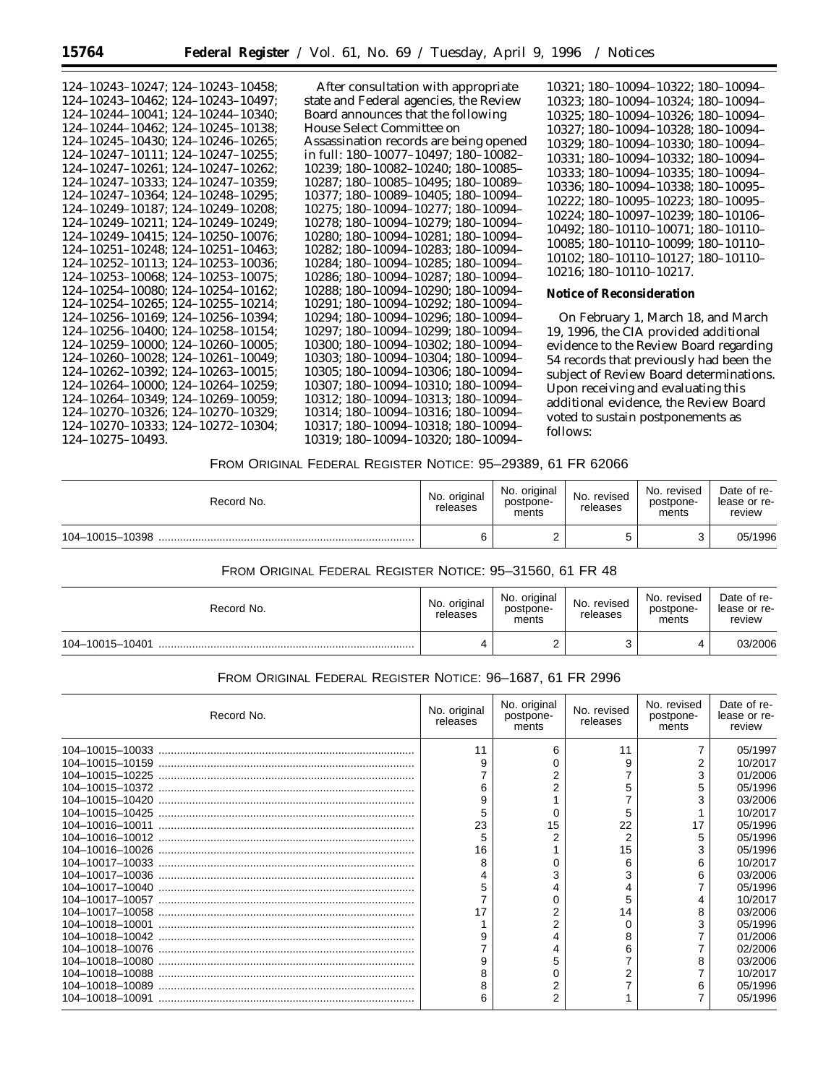| After consultation with appropriate    |
|----------------------------------------|
| state and Federal agencies, the Review |
| Board announces that the following     |
| House Select Committee on              |
| Assassination records are being opened |
| in full: 180-10077-10497; 180-10082-   |
| 10239; 180-10082-10240; 180-10085-     |
| 10287; 180-10085-10495; 180-10089-     |
| 10377; 180-10089-10405; 180-10094-     |
| 10275; 180-10094-10277; 180-10094-     |
| 10278; 180-10094-10279; 180-10094-     |
| 10280; 180-10094-10281; 180-10094-     |
| 10282; 180-10094-10283; 180-10094-     |
| 10284; 180-10094-10285; 180-10094-     |
| 10286; 180-10094-10287; 180-10094-     |
|                                        |
| 10288; 180-10094-10290; 180-10094-     |
| 10291; 180-10094-10292; 180-10094-     |
| 10294; 180-10094-10296; 180-10094-     |
| 10297; 180-10094-10299; 180-10094-     |
| 10300; 180-10094-10302; 180-10094-     |
| 10303: 180-10094-10304: 180-10094-     |
| 10305; 180-10094-10306; 180-10094-     |
| 10307; 180-10094-10310; 180-10094-     |
| 10312; 180-10094-10313; 180-10094-     |
| 10314; 180-10094-10316; 180-10094-     |
| 10317; 180-10094-10318; 180-10094-     |
| 10319; 180-10094-10320; 180-10094-     |
|                                        |

10321; 180–10094–10322; 180–10094– 10323; 180–10094–10324; 180–10094– 10325; 180–10094–10326; 180–10094– 10327; 180–10094–10328; 180–10094– 10329; 180–10094–10330; 180–10094– 10331; 180–10094–10332; 180–10094– 10333; 180–10094–10335; 180–10094– 10336; 180–10094–10338; 180–10095– 10222; 180–10095–10223; 180–10095– 10224; 180–10097–10239; 180–10106– 10492; 180–10110–10071; 180–10110– 10085; 180–10110–10099; 180–10110– 10102; 180–10110–10127; 180–10110– 10216; 180–10110–10217.

#### **Notice of Reconsideration**

On February 1, March 18, and March 19, 1996, the CIA provided additional evidence to the Review Board regarding 54 records that previously had been the subject of Review Board determinations. Upon receiving and evaluating this additional evidence, the Review Board voted to sustain postponements as follows:

## FROM ORIGINAL FEDERAL REGISTER NOTICE: 95–29389, 61 FR 62066

| Record No.      | No. original<br>releases | No. original<br>postpone-<br>ments | No. revised<br>releases | No. revised<br>postpone-<br>ments | Date of re-<br>lease or re-<br>review |
|-----------------|--------------------------|------------------------------------|-------------------------|-----------------------------------|---------------------------------------|
| 104-10015-10398 | 6                        |                                    |                         |                                   | 05/1996                               |

# FROM ORIGINAL FEDERAL REGISTER NOTICE: 95–31560, 61 FR 48

| Record No.      | No. original<br>releases | No. original<br>postpone-<br>ments | No. revised<br>releases | No. revised<br>postpone-<br>ments | Date of re-<br>lease or re-<br>review |
|-----------------|--------------------------|------------------------------------|-------------------------|-----------------------------------|---------------------------------------|
| 104-10015-10401 | ப                        |                                    | ⌒<br>ບ                  |                                   | 03/2006                               |

## FROM ORIGINAL FEDERAL REGISTER NOTICE: 96–1687, 61 FR 2996

| Record No. | No. original<br>releases | No. original<br>postpone-<br>ments | No. revised<br>releases | No. revised<br>postpone-<br>ments | Date of re-<br>lease or re-<br>review |
|------------|--------------------------|------------------------------------|-------------------------|-----------------------------------|---------------------------------------|
|            | 11                       | 6                                  | 11                      |                                   | 05/1997                               |
|            | $\mathbf{Q}$             |                                    | 9                       |                                   | 10/2017                               |
|            |                          |                                    |                         | 3                                 | 01/2006                               |
|            |                          |                                    |                         |                                   | 05/1996                               |
|            |                          |                                    |                         |                                   | 03/2006                               |
|            |                          | 0                                  | 5                       |                                   | 10/2017                               |
|            | 23                       | 15                                 | 22                      | 17                                | 05/1996                               |
|            |                          |                                    | $\overline{2}$          | 5                                 | 05/1996                               |
|            | 16                       |                                    | 15                      |                                   | 05/1996                               |
|            | 8                        |                                    | 6                       | 6                                 | 10/2017                               |
|            |                          |                                    |                         | 6                                 | 03/2006                               |
|            |                          |                                    |                         |                                   | 05/1996                               |
|            |                          |                                    |                         |                                   | 10/2017                               |
|            |                          |                                    | 14                      |                                   | 03/2006                               |
|            |                          | 2                                  |                         |                                   | 05/1996                               |
|            |                          |                                    | 8                       |                                   | 01/2006                               |
|            |                          |                                    | 6                       |                                   | 02/2006                               |
|            |                          |                                    |                         | 8                                 | 03/2006                               |
|            |                          |                                    |                         |                                   | 10/2017                               |
|            |                          |                                    |                         | 6                                 | 05/1996                               |
|            |                          | 2                                  |                         |                                   | 05/1996                               |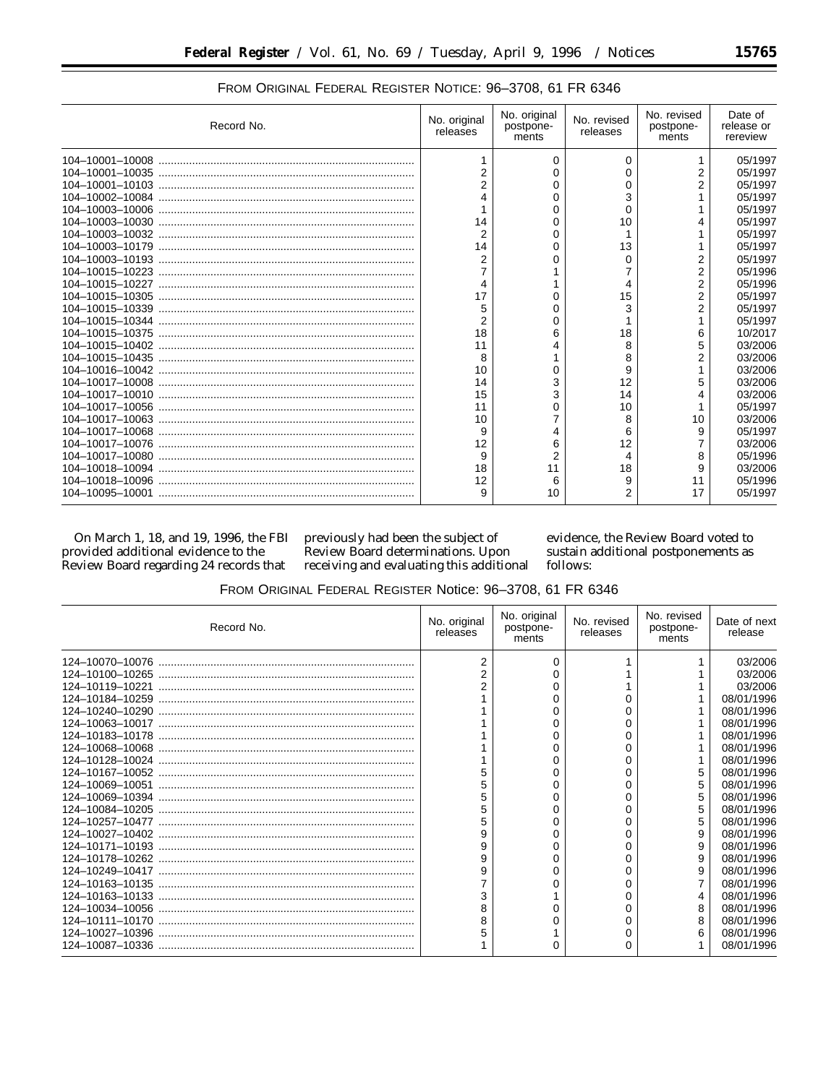٠

| Record No. | No. original<br>releases | No. original<br>postpone-<br>ments | No. revised<br>releases | No. revised<br>postpone-<br>ments | Date of<br>release or<br>rereview |
|------------|--------------------------|------------------------------------|-------------------------|-----------------------------------|-----------------------------------|
|            |                          | 0                                  | 0                       | 1                                 | 05/1997                           |
|            | $\overline{2}$           | $\Omega$                           | $\Omega$                | 2                                 | 05/1997                           |
|            | $\overline{2}$           |                                    | $\Omega$                | 2                                 | 05/1997                           |
|            |                          | O                                  | 3                       |                                   | 05/1997                           |
|            |                          | O                                  | $\Omega$                |                                   | 05/1997                           |
|            | 14                       |                                    | 10                      |                                   | 05/1997                           |
|            | $\overline{2}$           | O                                  | 1                       |                                   | 05/1997                           |
|            | 14                       | O                                  | 13                      |                                   | 05/1997                           |
|            | $\mathfrak{p}$           | n                                  | $\Omega$                | 2                                 | 05/1997                           |
|            |                          |                                    | 7                       | 2                                 | 05/1996                           |
|            | 4                        |                                    | 4                       | 2                                 | 05/1996                           |
|            | 17                       |                                    | 15                      | 2                                 | 05/1997                           |
|            | 5                        | $\Omega$                           | 3                       | 2                                 | 05/1997                           |
|            | $\overline{2}$           | U                                  |                         | 1                                 | 05/1997                           |
|            | 18                       | 6                                  | 18                      | 6                                 | 10/2017                           |
|            | 11                       |                                    | 8                       | 5                                 | 03/2006                           |
|            | 8                        |                                    | 8                       | 2                                 | 03/2006                           |
|            | 10                       | O                                  | 9                       |                                   | 03/2006                           |
|            | 14                       | 3                                  | 12                      | 5                                 | 03/2006                           |
|            | 15                       | 3                                  | 14                      | 4                                 | 03/2006                           |
|            | 11                       |                                    | 10                      |                                   | 05/1997                           |
|            | 10                       |                                    | 8                       | 10                                | 03/2006                           |
|            | 9                        | 4                                  | 6                       | 9                                 | 05/1997                           |
|            | 12                       | 6                                  | 12                      |                                   | 03/2006                           |
|            | 9                        | $\overline{2}$                     | 4                       | 8                                 | 05/1996                           |
|            | 18                       | 11                                 | 18                      | 9                                 | 03/2006                           |
|            | 12                       | 6                                  | 9                       | 11                                | 05/1996                           |
|            | 9                        | 10                                 | 2                       | 17                                | 05/1997                           |

# FROM ORIGINAL FEDERAL REGISTER NOTICE: 96-3708, 61 FR 6346

On March 1, 18, and 19, 1996, the FBI provided additional evidence to the Review Board regarding 24 records that

previously had been the subject of Review Board determinations. Upon receiving and evaluating this additional evidence, the Review Board voted to sustain additional postponements as follows:

| FROM ORIGINAL FEDERAL REGISTER Notice: 96-3708, 61 FR 6346 |  |  |
|------------------------------------------------------------|--|--|
|------------------------------------------------------------|--|--|

| Record No. | No. original<br>releases | No. original<br>postpone-<br>ments | No. revised<br>releases | No. revised<br>postpone-<br>ments | Date of next<br>release |
|------------|--------------------------|------------------------------------|-------------------------|-----------------------------------|-------------------------|
|            | $\overline{2}$           | 0                                  |                         |                                   | 03/2006                 |
|            | $\mathfrak{p}$           |                                    |                         |                                   | 03/2006                 |
|            |                          |                                    |                         |                                   | 03/2006                 |
|            |                          |                                    |                         |                                   | 08/01/1996              |
|            |                          |                                    |                         |                                   | 08/01/1996              |
|            |                          |                                    |                         |                                   | 08/01/1996              |
|            |                          |                                    |                         |                                   | 08/01/1996              |
|            |                          |                                    |                         |                                   | 08/01/1996              |
|            |                          | ი                                  | n                       |                                   | 08/01/1996              |
|            |                          |                                    |                         | 5                                 | 08/01/1996              |
|            |                          |                                    |                         | 5                                 | 08/01/1996              |
|            |                          |                                    |                         | 5                                 | 08/01/1996              |
|            |                          |                                    |                         | 5                                 | 08/01/1996              |
|            |                          |                                    |                         | 5                                 | 08/01/1996              |
|            |                          |                                    |                         | 9                                 | 08/01/1996              |
|            | g                        |                                    |                         | 9                                 | 08/01/1996              |
|            |                          |                                    |                         | 9                                 | 08/01/1996              |
|            |                          |                                    |                         | 9                                 | 08/01/1996              |
|            |                          |                                    |                         |                                   | 08/01/1996              |
|            |                          |                                    |                         | 4                                 | 08/01/1996              |
|            |                          |                                    |                         | 8                                 | 08/01/1996              |
|            |                          |                                    |                         | 8                                 | 08/01/1996              |
|            |                          |                                    |                         | 6                                 | 08/01/1996              |
|            |                          | O                                  |                         |                                   | 08/01/1996              |